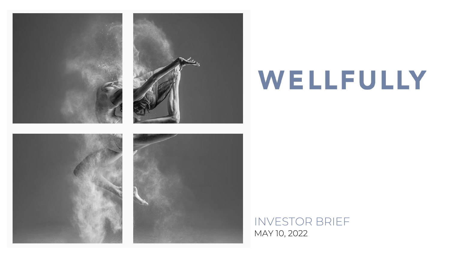

# WELLFULLY

### INVESTOR BRIEF MAY 10, 2022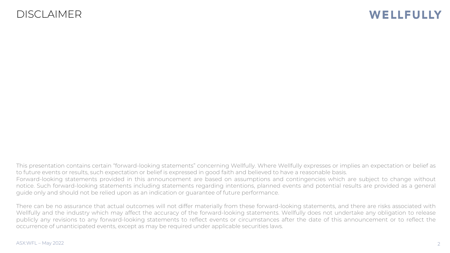### DISCLAIMER

### WELLFULLY

This presentation contains certain "forward-looking statements" concerning Wellfully. Where Wellfully expresses or implies an expectation or belief as to future events or results, such expectation or belief is expressed in good faith and believed to have a reasonable basis. Forward-looking statements provided in this announcement are based on assumptions and contingencies which are subject to change without notice. Such forward-looking statements including statements regarding intentions, planned events and potential results are provided as a general guide only and should not be relied upon as an indication or guarantee of future performance.

There can be no assurance that actual outcomes will not differ materially from these forward-looking statements, and there are risks associated with Wellfully and the industry which may affect the accuracy of the forward-looking statements. Wellfully does not undertake any obligation to release publicly any revisions to any forward-looking statements to reflect events or circumstances after the date of this announcement or to reflect the occurrence of unanticipated events, except as may be required under applicable securities laws.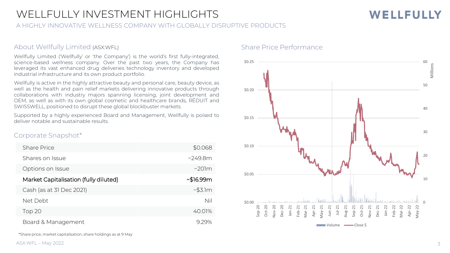### WELLFULLY INVESTMENT HIGHLIGHTS

A HIGHLY INNOVATIVE WELLNESS COMPANY WITH GLOBALLY DISRUPTIVE PRODUCTS

#### About Wellfully Limited (ASX:WFL)

Wellfully Limited ('Wellfully' or 'the Company') is the world's first fully-integrated, science-based wellness company. Over the past two years, the Company has leveraged its vast enhanced drug deliveries technology inventory and developed industrial infrastructure and its own product portfolio.

Wellfully is active in the highly attractive beauty and personal care, beauty device, as well as the health and pain relief markets delivering innovative products through collaborations with industry majors spanning licensing, joint development and OEM, as well as with its own global cosmetic and healthcare brands, RÉDUIT and SWISSWELL, positioned to disrupt these global blockbuster markets.

Supported by a highly experienced Board and Management, Wellfully is poised to deliver notable and sustainable results.

#### Corporate Snapshot\*

| <b>Share Price</b>                    | \$0.068        |
|---------------------------------------|----------------|
| Shares on Issue                       | ~249.8m        |
| Options on Issue                      | $\sim$ 201 $m$ |
| Market Capitalisation (fully diluted) | ~516.99m       |
| Cash (as at 31 Dec 2021)              | $~\sim$ \$3.1m |
| Net Debt                              | Nil            |
| Top 20                                | 40.01%         |
| Board & Management                    | 929%           |

Share Price Performance



\*Share price, market capitalisation, share holdings as at 9 May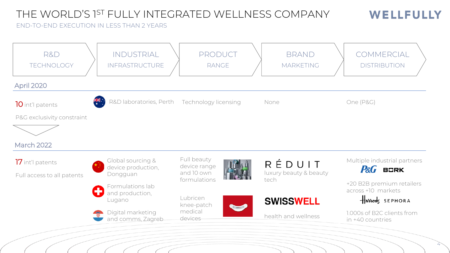### THE WORLD'S 1ST FULLY INTEGRATED WELLNESS COMPANY

WELLFULLY

#### END-TO-END EXECUTION IN LESS THAN 2 YEARS

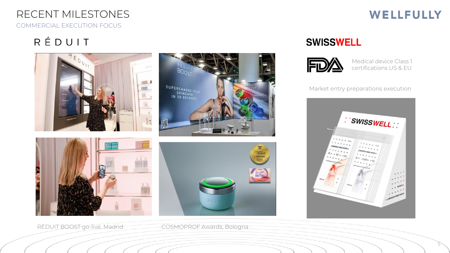### RECENT MILESTONES COMMERCIAL EXECUTION FOCUS

## RÉDUIT



RÉDUIT BOOST go-live, Madrid COSMOPROF Awards, Bologna

## **WELLFULLY**

5

### **SWISSWELL**



Medical device Class 1 certifications US & EU

Market entry preparations execution

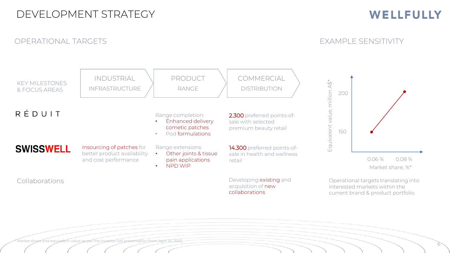### DEVELOPMENT STRATEGY

OPERATIONAL TARGETS

### WELLFULLY

EXAMPLE SENSITIVITY

6



Market share and equivalent value as per the investor call presentation from April 14, 2022;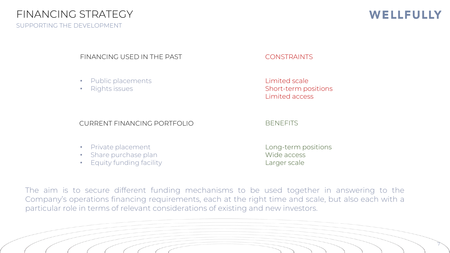### FINANCING STRATEGY

SUPPORTING THE DEVELOPMENT

### WELLFULLY

7

#### FINANCING USED IN THE PAST THE CONSTRAINTS

- Public placements
- Rights issues

Limited scale Short-term positions Limited access

#### CURRENT FINANCING PORTFOLIO BENEFITS

#### • Private placement

- Share purchase plan
- Equity funding facility

Long-term positions Wide access Larger scale

The aim is to secure different funding mechanisms to be used together in answering to the Company's operations financing requirements, each at the right time and scale, but also each with a particular role in terms of relevant considerations of existing and new investors.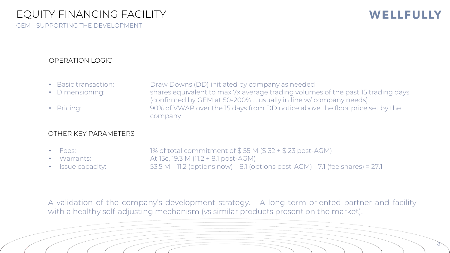GEM - SUPPORTING THE DEVELOPMENT

### WELLFULLY

#### OPERATION LOGIC

• Basic transaction: Draw Downs (DD) initiated by company as needed • Dimensioning: shares equivalent to max 7x average trading volumes of the past 15 trading days (confirmed by GEM at 50-200% … usually in line w/ company needs) • Pricing: 90% of VWAP over the 15 days from DD notice above the floor price set by the company

#### OTHER KEY PARAMETERS

Fees:  $1\%$  of total commitment of  $$55 M ($32 + $23 \text{ post-AGM})$ • Warrants: At 15c, 19.3 M (11.2 + 8.1 post-AGM) Issue capacity:  $53.5 M - 11.2$  (options now) – 8.1 (options post-AGM) - 7.1 (fee shares) = 27.1

A validation of the company's development strategy. A long-term oriented partner and facility with a healthy self-adjusting mechanism (vs similar products present on the market).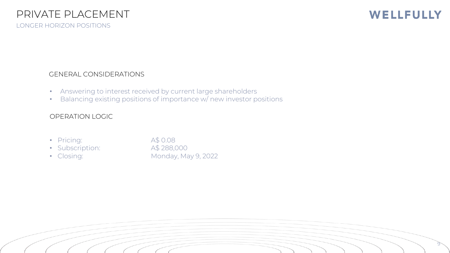### WELLFULLY

9

### GENERAL CONSIDERATIONS

- Answering to interest received by current large shareholders
- Balancing existing positions of importance w/ new investor positions

### OPERATION LOGIC

- Pricing: A\$ 0.08
- Subscription: A\$ 288,000
- 

• Closing: Monday, May 9, 2022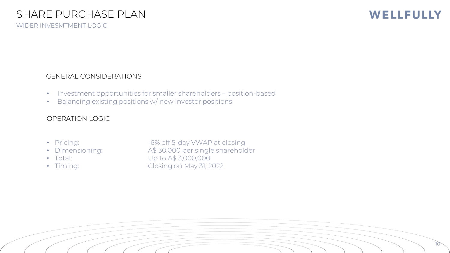WIDER INVESMTMENT LOGIC

### WELLFULLY

10

#### GENERAL CONSIDERATIONS

- Investment opportunities for smaller shareholders position-based
- Balancing existing positions w/ new investor positions

#### OPERATION LOGIC

- 
- 
- 
- 

• Pricing:  $-6\%$  off 5-day VWAP at closing • Dimensioning: A\$ 30.000 per single shareholder • Total: Up to A\$ 3,000,000 • Timing: Closing on May 31, 2022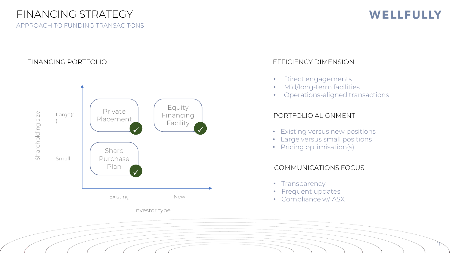### FINANCING STRATEGY

APPROACH TO FUNDING TRANSACITONS

### WELLFULLY

11

#### FINANCING PORTFOLIO



#### EFFICIENCY DIMENSION

- Direct engagements
- Mid/long-term facilities
- Operations-aligned transactions

#### PORTFOLIO ALIGNMENT

- Existing versus new positions
- Large versus small positions
- Pricing optimisation(s)

#### COMMUNICATIONS FOCUS

- Transparency
- Frequent updates
- Compliance w/ ASX